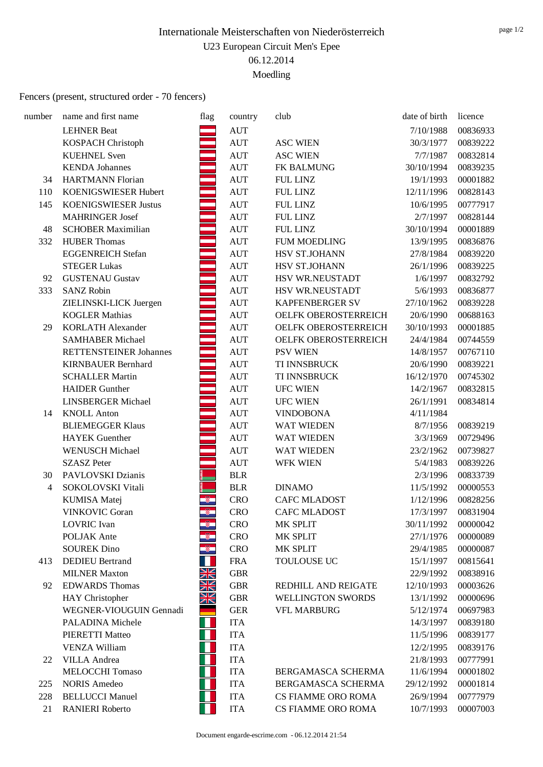### Fencers (present, structured order - 70 fencers)

| number         | name and first name           | flag                     | country            | club                      | date of birth | licence  |
|----------------|-------------------------------|--------------------------|--------------------|---------------------------|---------------|----------|
|                | <b>LEHNER Beat</b>            |                          | <b>AUT</b>         |                           | 7/10/1988     | 00836933 |
|                | <b>KOSPACH Christoph</b>      |                          | $\mathop{\rm AUT}$ | <b>ASC WIEN</b>           | 30/3/1977     | 00839222 |
|                | <b>KUEHNEL Sven</b>           |                          | $\mathop{\rm AUT}$ | <b>ASC WIEN</b>           | 7/7/1987      | 00832814 |
|                | <b>KENDA</b> Johannes         |                          | <b>AUT</b>         | FK BALMUNG                | 30/10/1994    | 00839235 |
| 34             | <b>HARTMANN Florian</b>       |                          | <b>AUT</b>         | <b>FUL LINZ</b>           | 19/1/1993     | 00001882 |
| 110            | KOENIGSWIESER Hubert          |                          | $\mathop{\rm AUT}$ | <b>FUL LINZ</b>           | 12/11/1996    | 00828143 |
| 145            | <b>KOENIGSWIESER Justus</b>   |                          | $\mathop{\rm AUT}$ | <b>FUL LINZ</b>           | 10/6/1995     | 00777917 |
|                | <b>MAHRINGER Josef</b>        |                          | <b>AUT</b>         | <b>FUL LINZ</b>           | 2/7/1997      | 00828144 |
| 48             | <b>SCHOBER Maximilian</b>     |                          | <b>AUT</b>         | <b>FUL LINZ</b>           | 30/10/1994    | 00001889 |
| 332            | <b>HUBER Thomas</b>           |                          | <b>AUT</b>         | <b>FUM MOEDLING</b>       | 13/9/1995     | 00836876 |
|                | <b>EGGENREICH Stefan</b>      |                          | $\mathop{\rm AUT}$ | HSV ST.JOHANN             | 27/8/1984     | 00839220 |
|                | <b>STEGER Lukas</b>           |                          | $\mathop{\rm AUT}$ | HSV ST.JOHANN             | 26/1/1996     | 00839225 |
| 92             | <b>GUSTENAU Gustav</b>        |                          | <b>AUT</b>         | HSV WR.NEUSTADT           | 1/6/1997      | 00832792 |
| 333            | <b>SANZ Robin</b>             |                          | $\mathop{\rm AUT}$ | HSV WR.NEUSTADT           | 5/6/1993      | 00836877 |
|                | ZIELINSKI-LICK Juergen        |                          | $\mathop{\rm AUT}$ | <b>KAPFENBERGER SV</b>    | 27/10/1962    | 00839228 |
|                | <b>KOGLER Mathias</b>         |                          | $\mathop{\rm AUT}$ | OELFK OBEROSTERREICH      | 20/6/1990     | 00688163 |
| 29             | <b>KORLATH Alexander</b>      |                          | <b>AUT</b>         | OELFK OBEROSTERREICH      | 30/10/1993    | 00001885 |
|                | <b>SAMHABER Michael</b>       |                          | <b>AUT</b>         | OELFK OBEROSTERREICH      | 24/4/1984     | 00744559 |
|                | <b>RETTENSTEINER Johannes</b> |                          | $\mathop{\rm AUT}$ | <b>PSV WIEN</b>           | 14/8/1957     | 00767110 |
|                | <b>KIRNBAUER Bernhard</b>     |                          | <b>AUT</b>         | TI INNSBRUCK              | 20/6/1990     | 00839221 |
|                | <b>SCHALLER Martin</b>        |                          | <b>AUT</b>         | TI INNSBRUCK              | 16/12/1970    | 00745302 |
|                | <b>HAIDER</b> Gunther         |                          | <b>AUT</b>         | <b>UFC WIEN</b>           | 14/2/1967     | 00832815 |
|                | <b>LINSBERGER Michael</b>     |                          | $\mathop{\rm AUT}$ | <b>UFC WIEN</b>           | 26/1/1991     | 00834814 |
| 14             | <b>KNOLL Anton</b>            |                          | <b>AUT</b>         | <b>VINDOBONA</b>          | 4/11/1984     |          |
|                | <b>BLIEMEGGER Klaus</b>       |                          | <b>AUT</b>         | <b>WAT WIEDEN</b>         | 8/7/1956      | 00839219 |
|                | <b>HAYEK</b> Guenther         |                          | <b>AUT</b>         | <b>WAT WIEDEN</b>         | 3/3/1969      | 00729496 |
|                | <b>WENUSCH Michael</b>        |                          | <b>AUT</b>         | WAT WIEDEN                | 23/2/1962     | 00739827 |
|                | <b>SZASZ Peter</b>            |                          | <b>AUT</b>         | <b>WFK WIEN</b>           | 5/4/1983      | 00839226 |
| 30             | PAVLOVSKI Dzianis             |                          | <b>BLR</b>         |                           | 2/3/1996      | 00833739 |
| $\overline{4}$ | SOKOLOVSKI Vitali             |                          | <b>BLR</b>         | <b>DINAMO</b>             | 11/5/1992     | 00000553 |
|                | <b>KUMISA</b> Matej           |                          | <b>CRO</b>         | <b>CAFC MLADOST</b>       | 1/12/1996     | 00828256 |
|                | <b>VINKOVIC Goran</b>         | $\overline{\mathcal{F}}$ | <b>CRO</b>         | <b>CAFC MLADOST</b>       | 17/3/1997     | 00831904 |
|                | <b>LOVRIC</b> Ivan            | - 70                     | <b>CRO</b>         | MK SPLIT                  | 30/11/1992    | 00000042 |
|                | POLJAK Ante                   |                          | <b>CRO</b>         | MK SPLIT                  | 27/1/1976     | 00000089 |
|                | <b>SOUREK Dino</b>            | ŵ.                       | <b>CRO</b>         | MK SPLIT                  | 29/4/1985     | 00000087 |
| 413            | <b>DEDIEU</b> Bertrand        |                          | <b>FRA</b>         | TOULOUSE UC               | 15/1/1997     | 00815641 |
|                | <b>MILNER Maxton</b>          | XK<br>NZ                 | <b>GBR</b>         |                           | 22/9/1992     | 00838916 |
| 92             | <b>EDWARDS</b> Thomas         | $\times$<br>∐∠           | <b>GBR</b>         | REDHILL AND REIGATE       | 12/10/1993    | 00003626 |
|                | HAY Christopher               | ZÑ                       | <b>GBR</b>         | WELLINGTON SWORDS         | 13/1/1992     | 00000696 |
|                | WEGNER-VIOUGUIN Gennadi       |                          | <b>GER</b>         | <b>VFL MARBURG</b>        | 5/12/1974     | 00697983 |
|                | PALADINA Michele              | ◦▶                       | <b>ITA</b>         |                           | 14/3/1997     | 00839180 |
|                | PIERETTI Matteo               |                          | <b>ITA</b>         |                           | 11/5/1996     | 00839177 |
|                | <b>VENZA William</b>          |                          | <b>ITA</b>         |                           | 12/2/1995     | 00839176 |
| 22             | <b>VILLA</b> Andrea           |                          | <b>ITA</b>         |                           | 21/8/1993     | 00777991 |
|                | MELOCCHI Tomaso               |                          | <b>ITA</b>         | BERGAMASCA SCHERMA        | 11/6/1994     | 00001802 |
| 225            | <b>NORIS Amedeo</b>           |                          | <b>ITA</b>         | BERGAMASCA SCHERMA        | 29/12/1992    | 00001814 |
| 228            | <b>BELLUCCI Manuel</b>        |                          | <b>ITA</b>         | <b>CS FIAMME ORO ROMA</b> | 26/9/1994     | 00777979 |
| 21             | <b>RANIERI</b> Roberto        |                          | <b>ITA</b>         | CS FIAMME ORO ROMA        | 10/7/1993     | 00007003 |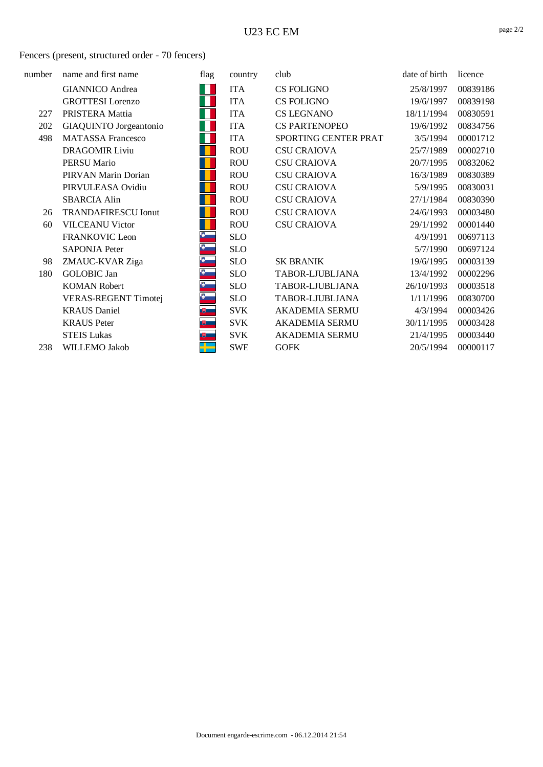#### U23 EC EM

#### Fencers (present, structured order - 70 fencers)

| number | name and first name         | flag                 | country    | club                  | date of birth | licence  |
|--------|-----------------------------|----------------------|------------|-----------------------|---------------|----------|
|        | <b>GIANNICO</b> Andrea      | Ш                    | <b>ITA</b> | CS FOLIGNO            | 25/8/1997     | 00839186 |
|        | <b>GROTTESI</b> Lorenzo     |                      | <b>ITA</b> | <b>CS FOLIGNO</b>     | 19/6/1997     | 00839198 |
| 227    | PRISTERA Mattia             |                      | <b>ITA</b> | <b>CS LEGNANO</b>     | 18/11/1994    | 00830591 |
| 202    | GIAQUINTO Jorgeantonio      | Ш                    | <b>ITA</b> | <b>CS PARTENOPEO</b>  | 19/6/1992     | 00834756 |
| 498    | <b>MATASSA Francesco</b>    | Н                    | <b>ITA</b> | SPORTING CENTER PRAT  | 3/5/1994      | 00001712 |
|        | <b>DRAGOMIR Liviu</b>       |                      | <b>ROU</b> | <b>CSU CRAIOVA</b>    | 25/7/1989     | 00002710 |
|        | <b>PERSU Mario</b>          |                      | <b>ROU</b> | <b>CSU CRAIOVA</b>    | 20/7/1995     | 00832062 |
|        | PIRVAN Marin Dorian         |                      | <b>ROU</b> | <b>CSU CRAIOVA</b>    | 16/3/1989     | 00830389 |
|        | PIRVULEASA Ovidiu           |                      | <b>ROU</b> | <b>CSU CRAIOVA</b>    | 5/9/1995      | 00830031 |
|        | <b>SBARCIA Alin</b>         |                      | <b>ROU</b> | <b>CSU CRAIOVA</b>    | 27/1/1984     | 00830390 |
| 26     | <b>TRANDAFIRESCU Ionut</b>  |                      | <b>ROU</b> | <b>CSU CRAIOVA</b>    | 24/6/1993     | 00003480 |
| 60     | <b>VILCEANU Victor</b>      |                      | <b>ROU</b> | <b>CSU CRAIOVA</b>    | 29/1/1992     | 00001440 |
|        | FRANKOVIC Leon              | $\bullet$            | <b>SLO</b> |                       | 4/9/1991      | 00697113 |
|        | <b>SAPONJA Peter</b>        | $\overline{\bullet}$ | <b>SLO</b> |                       | 5/7/1990      | 00697124 |
| 98     | ZMAUC-KVAR Ziga             | Ð                    | <b>SLO</b> | <b>SK BRANIK</b>      | 19/6/1995     | 00003139 |
| 180    | <b>GOLOBIC Jan</b>          | Ю                    | <b>SLO</b> | TABOR-LJUBLJANA       | 13/4/1992     | 00002296 |
|        | <b>KOMAN Robert</b>         | Đ                    | <b>SLO</b> | TABOR-LJUBLJANA       | 26/10/1993    | 00003518 |
|        | <b>VERAS-REGENT Timotej</b> |                      | <b>SLO</b> | TABOR-LJUBLJANA       | 1/11/1996     | 00830700 |
|        | <b>KRAUS</b> Daniel         | 曳__                  | <b>SVK</b> | <b>AKADEMIA SERMU</b> | 4/3/1994      | 00003426 |
|        | <b>KRAUS</b> Peter          | (明) 二                | <b>SVK</b> | <b>AKADEMIA SERMU</b> | 30/11/1995    | 00003428 |
|        | <b>STEIS Lukas</b>          | 聘 二                  | <b>SVK</b> | AKADEMIA SERMU        | 21/4/1995     | 00003440 |
| 238    | WILLEMO Jakob               |                      | <b>SWE</b> | <b>GOFK</b>           | 20/5/1994     | 00000117 |
|        |                             |                      |            |                       |               |          |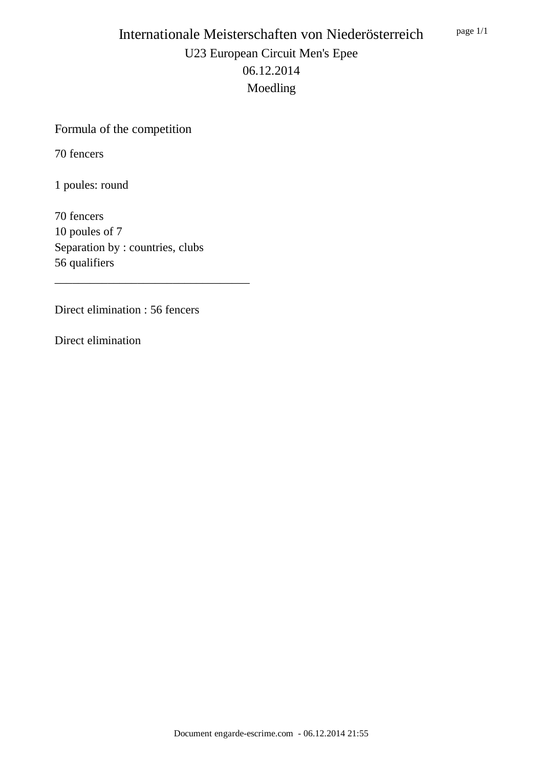## Formula of the competition

70 fencers

1 poules: round

70 fencers 10 poules of 7 Separation by : countries, clubs 56 qualifiers

\_\_\_\_\_\_\_\_\_\_\_\_\_\_\_\_\_\_\_\_\_\_\_\_\_\_\_\_\_\_\_\_\_

Direct elimination : 56 fencers

Direct elimination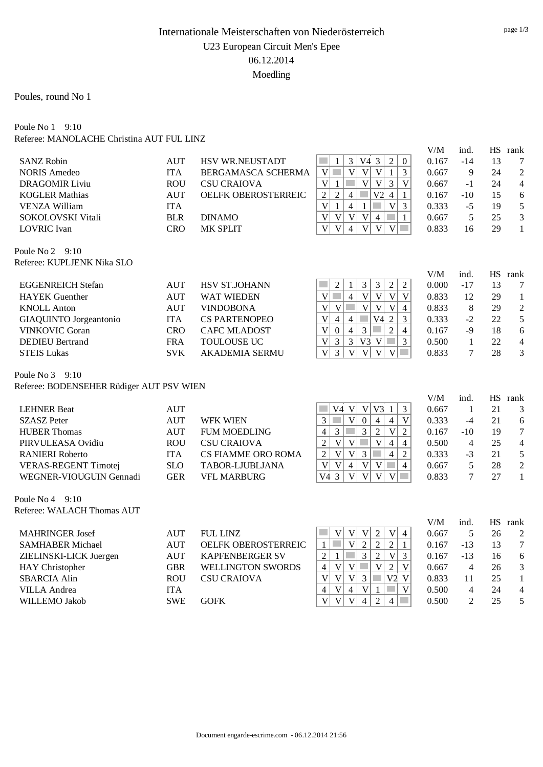Poules, round No 1

#### Poule No 1 9:10 Referee: MANOLACHE Christina AUT FUL LINZ

|                                          |                          |                           |                                                                                                                                                                 | V/M            | ind.                 |    | HS rank                   |
|------------------------------------------|--------------------------|---------------------------|-----------------------------------------------------------------------------------------------------------------------------------------------------------------|----------------|----------------------|----|---------------------------|
| <b>SANZ Robin</b>                        | <b>AUT</b>               | <b>HSV WR.NEUSTADT</b>    | V43<br>$\sqrt{2}$<br>p.<br>$\mathbf{1}$<br>3<br>$\boldsymbol{0}$                                                                                                | 0.167          | $-14$                | 13 | 7                         |
| <b>NORIS Amedeo</b>                      | <b>ITA</b>               | BERGAMASCA SCHERMA        | $\overline{V}$<br>$\overline{\mathbf{V}}$<br>$\overline{3}$<br>T.<br>$\overline{V}$<br>$\mathbf{1}$<br>V                                                        | 0.667          | 9                    | 24 | $\overline{c}$            |
| <b>DRAGOMIR Liviu</b>                    | <b>ROU</b>               | <b>CSU CRAIOVA</b>        | $\overline{\mathsf{V}}$<br>$1\,$<br>$\overline{V}$<br>$\overline{V}$<br>$\mathfrak{Z}$<br>$\overline{V}$<br>p.                                                  | 0.667          | $-1$                 | 24 | $\overline{4}$            |
| <b>KOGLER Mathias</b>                    | <b>AUT</b>               | OELFK OBEROSTERREIC       | $\overline{2}$<br>$\overline{2}$<br>V <sub>2</sub><br>$\overline{4}$<br>$\mathbb{R}^n$<br>$\overline{4}$<br>$\mathbf{1}$                                        | 0.167          | $-10$                | 15 | 6                         |
| <b>VENZA William</b>                     | <b>ITA</b>               |                           | $\overline{\mathsf{V}}$<br>$\overline{4}$<br>$1\,$<br>$\mathbf{1}$<br>$\mathbf V$<br>$\mathfrak{Z}$                                                             | 0.333          | $-5$                 | 19 | 5                         |
| SOKOLOVSKI Vitali                        | <b>BLR</b>               | <b>DINAMO</b>             | $\overline{V}$<br>$\overline{\mathsf{V}}$<br>$\overline{V}$<br>$\overline{4}$<br>$\mathbf V$<br>$\mathbf{1}$                                                    | 0.667          | 5                    | 25 | 3                         |
| <b>LOVRIC</b> Ivan                       | <b>CRO</b>               | MK SPLIT                  | $\overline{\mathsf{V}}$<br>$\overline{\mathsf{V}}$<br>$\overline{V}$<br>$\overline{\mathsf{V}}$<br>$\overline{4}$<br>$\mathbf V$<br>$\mathcal{L}_{\mathcal{A}}$ | 0.833          | 16                   | 29 | $\mathbf{1}$              |
| Poule No $2 \quad 9:10$                  |                          |                           |                                                                                                                                                                 |                |                      |    |                           |
| Referee: KUPLJENK Nika SLO               |                          |                           |                                                                                                                                                                 | V/M            |                      |    |                           |
| <b>EGGENREICH Stefan</b>                 | <b>AUT</b>               | HSV ST.JOHANN             | $\mathfrak{Z}$<br>$\mathfrak{Z}$<br>$\sqrt{2}$<br>$\boldsymbol{2}$<br>$\sqrt{2}$<br>$\mathbf{1}$                                                                | 0.000          | ind.<br>$-17$        | 13 | HS rank<br>7              |
| <b>HAYEK</b> Guenther                    | <b>AUT</b>               | <b>WAT WIEDEN</b>         | $\overline{\mathsf{V}}$<br>p.<br>$\overline{4}$<br>$\overline{V}$<br>$\mathbf V$<br>$\mathbf V$<br>$\mathbf V$                                                  | 0.833          | 12                   | 29 | $\mathbf{1}$              |
| <b>KNOLL Anton</b>                       | <b>AUT</b>               | <b>VINDOBONA</b>          | $\mathbf V$<br>$\overline{\mathsf{V}}$<br>$\mathbf V$<br>$\overline{V}$<br>$\overline{4}$<br>$\mathbf V$<br>T.                                                  | 0.833          | $\,8\,$              | 29 | $\overline{c}$            |
| GIAQUINTO Jorgeantonio                   | <b>ITA</b>               | <b>CS PARTENOPEO</b>      | $\overline{\mathsf{V}}$<br>$\mathcal{L}_{\mathcal{A}}$<br>V <sub>4</sub><br>$\overline{2}$<br>3<br>$\overline{4}$<br>$\overline{4}$                             | 0.333          | $-2$                 | 22 | 5                         |
| <b>VINKOVIC Goran</b>                    | <b>CRO</b>               | <b>CAFC MLADOST</b>       | $\overline{3}$<br>$\overline{\mathsf{V}}$<br>$\boldsymbol{0}$<br>$\overline{4}$<br>$\overline{2}$<br>$\overline{4}$<br><b>The State</b>                         | 0.167          | $-9$                 | 18 | 6                         |
| <b>DEDIEU</b> Bertrand                   | <b>FRA</b>               | TOULOUSE UC               | $\overline{3}$<br>$\overline{3}$<br>$V3$ V<br>$\overline{3}$<br>$\mathbf V$                                                                                     | 0.500          | $\mathbf{1}$         | 22 | $\overline{4}$            |
| <b>STEIS Lukas</b>                       | <b>SVK</b>               | <b>AKADEMIA SERMU</b>     | 3<br>$\overline{V}$<br>$\overline{V}$<br>$\mathbf{V}$<br>$\mathbf V$<br>$\mathbf{V}$<br>$\mathcal{L}^{\text{max}}$                                              | 0.833          | 7                    | 28 | 3                         |
| Poule No 3<br>9:10                       |                          |                           |                                                                                                                                                                 |                |                      |    |                           |
| Referee: BODENSEHER Rüdiger AUT PSV WIEN |                          |                           |                                                                                                                                                                 |                |                      |    |                           |
| <b>LEHNER Beat</b>                       |                          |                           | V <br>V3 1<br>3<br>V4 V                                                                                                                                         | V/M            | ind.<br>$\mathbf{1}$ | 21 | HS rank<br>3              |
| <b>SZASZ Peter</b>                       | <b>AUT</b><br><b>AUT</b> | <b>WFK WIEN</b>           | $\overline{V}$<br>$\overline{\mathsf{V}}$<br>3<br>$\mathbb{R}^n$<br>$\boldsymbol{0}$<br>$\overline{4}$<br>$\overline{4}$                                        | 0.667<br>0.333 | $-4$                 | 21 | 6                         |
| <b>HUBER Thomas</b>                      | <b>AUT</b>               | <b>FUM MOEDLING</b>       | 3<br>$\overline{2}$<br>$\overline{V}$<br>$\overline{2}$<br>$\overline{4}$<br>3<br>p.                                                                            | 0.167          | $-10$                | 19 | $\overline{7}$            |
| PIRVULEASA Ovidiu                        | <b>ROU</b>               | <b>CSU CRAIOVA</b>        | $\overline{2}$<br>$\overline{\mathsf{V}}$<br>$\overline{V}$<br>p.<br>$\overline{V}$<br>$\overline{4}$<br>$\overline{4}$                                         | 0.500          | $\overline{4}$       | 25 | $\overline{4}$            |
| <b>RANIERI</b> Roberto                   | <b>ITA</b>               | <b>CS FIAMME ORO ROMA</b> | $\overline{3}$<br>$\overline{4}$<br>$\overline{2}$<br>$\overline{V}$<br>$\overline{V}$<br>$\overline{2}$                                                        | 0.333          | $-3$                 | 21 | 5                         |
| <b>VERAS-REGENT Timotej</b>              | <b>SLO</b>               | TABOR-LJUBLJANA           | $\mathbf{V}$<br>$\overline{4}$<br>$\overline{V}$<br>V<br>$\mathcal{L}^{\mathcal{L}}$<br>$\overline{4}$<br>V                                                     | 0.667          | 5                    | 28 | $\overline{2}$            |
| WEGNER-VIOUGUIN Gennadi                  | <b>GER</b>               | <b>VFL MARBURG</b>        | $\overline{V}$<br>$\overline{V}$<br>$\overline{V}$<br>$\overline{V}$<br>V <sub>4</sub><br>$\overline{3}$<br>$\mathcal{L}^{\text{max}}$                          | 0.833          | $\overline{7}$       | 27 | $\mathbf{1}$              |
| Poule No $4$ 9:10                        |                          |                           |                                                                                                                                                                 |                |                      |    |                           |
| Referee: WALACH Thomas AUT               |                          |                           |                                                                                                                                                                 |                |                      |    |                           |
| <b>MAHRINGER Josef</b>                   | <b>AUT</b>               | <b>FUL LINZ</b>           | $\overline{2}$<br>$\overline{\mathsf{V}}$<br>$\overline{\mathsf{V}}$<br>$\overline{V}$<br>$\mathbf V$<br>$\overline{4}$<br>in 1                                 | V/M<br>0.667   | ind.<br>5            | 26 | HS rank<br>$\overline{c}$ |
| <b>SAMHABER Michael</b>                  | <b>AUT</b>               | OELFK OBEROSTERREIC       | $\overline{2}$<br>$\mathbb{R}^n$<br>$\overline{\mathsf{V}}$<br>$\overline{2}$<br>$\overline{2}$<br>$\mathbf{1}$<br>$\mathbf{1}$                                 | 0.167          | $-13$                | 13 | 7                         |
| ZIELINSKI-LICK Juergen                   | <b>AUT</b>               | <b>KAPFENBERGER SV</b>    | 3<br>$\overline{2}$<br>erialisti<br>Viited<br>$\sqrt{2}$<br>$\mathbf{1}$<br>$\mathbf{V}$<br>$\mathfrak{Z}$                                                      | 0.167          | $-13$                | 16 | 6                         |
| <b>HAY</b> Christopher                   | <b>GBR</b>               | WELLINGTON SWORDS         | $\overline{V}$<br>$\sqrt{2}$<br>$\ensuremath{\mathbf{V}}$<br>$\mathbf V$<br>p.<br>$\mathbf V$<br>$\overline{4}$                                                 | 0.667          | $\overline{4}$       | 26 | 3                         |
| <b>SBARCIA Alin</b>                      | <b>ROU</b>               | <b>CSU CRAIOVA</b>        | $\overline{\mathsf{V}}$<br>$\overline{\mathsf{V}}$<br>$\mathfrak{Z}$<br>$\mathcal{L}_{\mathcal{A}}$<br>V <sub>2</sub><br>$\overline{V}$<br>$\mathbf V$          | 0.833          | 11                   | 25 | $\mathbf{1}$              |
| <b>VILLA</b> Andrea                      | <b>ITA</b>               |                           | $\mathbf V$<br>$\overline{\mathcal{L}}$<br>V<br>$\overline{4}$<br>$\mathbf V$<br>$\mathbf{1}$<br><b>Side</b>                                                    | 0.500          | $\overline{4}$       | 24 | $\overline{4}$            |
| WILLEMO Jakob                            | <b>SWE</b>               | <b>GOFK</b>               | $\overline{\mathbf{V}}$<br>$\overline{2}$<br>$\overline{\mathsf{V}}$<br>$\overline{\mathsf{V}}$<br>$\overline{4}$<br>$\overline{4}$                             | 0.500          | $\overline{2}$       | 25 | 5                         |
|                                          |                          |                           |                                                                                                                                                                 |                |                      |    |                           |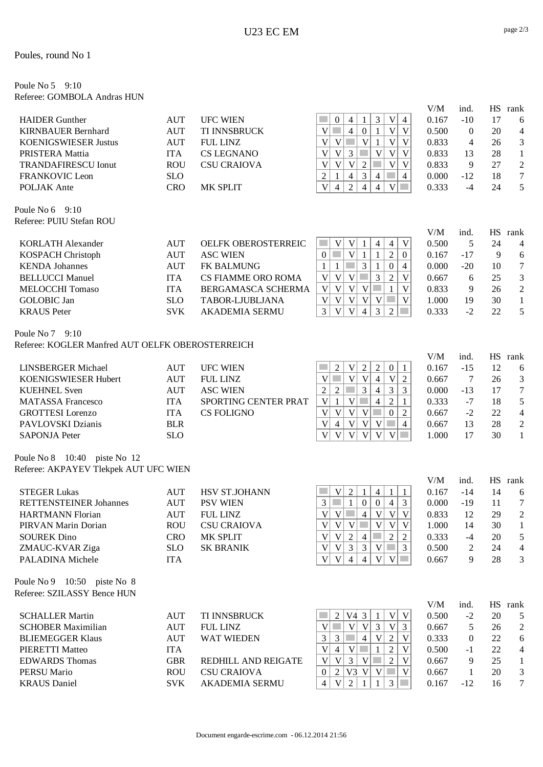#### Poules, round No 1

#### Poule No 5 9:10 Referee: GOMBOLA Andras HUN

| <b>HAIDER</b> Gunther<br><b>KIRNBAUER Bernhard</b><br><b>KOENIGSWIESER Justus</b><br>PRISTERA Mattia<br><b>TRANDAFIRESCU Ionut</b><br><b>FRANKOVIC Leon</b><br>POLJAK Ante<br>Poule No $6\quad 9:10$                                         | <b>AUT</b><br><b>AUT</b><br><b>AUT</b><br><b>ITA</b><br><b>ROU</b><br><b>SLO</b><br><b>CRO</b>                       | <b>UFC WIEN</b><br>TI INNSBRUCK<br><b>FUL LINZ</b><br><b>CS LEGNANO</b><br><b>CSU CRAIOVA</b><br>MK SPLIT                                                  | 3<br>$\mathbf V$<br>$\overline{4}$<br>$\boldsymbol{0}$<br>$\overline{4}$<br>1<br>$\overline{V}$<br>$\mathbf V$<br>$\overline{4}$<br>$\boldsymbol{0}$<br>$\mathbf{1}$<br>V<br>$\ensuremath{\text{V}}$<br>$\mathcal{L}^{\mathcal{L}}$<br>$\ensuremath{\text{V}}$<br>$\mathbf V$<br>V<br>V<br>$\mathbf{1}$<br>$\overline{3}$<br>$\ensuremath{\mathsf{V}}$<br>V<br>V<br>p.<br>$\mathbf V$<br>V<br><b>Tara</b><br>V<br>$\mathbf V$<br>V<br>V<br>$\overline{2}$<br>$\mathbf V$<br>3<br>$\sqrt{2}$<br>$\overline{4}$<br>$\sim$<br>$\overline{4}$<br>$\mathbf{1}$<br>$\overline{4}$<br>$\overline{V}$<br>$\overline{2}$<br>$\mathcal{L}_{\mathcal{A}}$<br>$\overline{4}$<br>$\mathbf V$<br>$\overline{4}$<br>$\overline{4}$ | V/M<br>0.167<br>0.500<br>0.833<br>0.833<br>0.833<br>0.000<br>0.333 | ind.<br>$-10$<br>$\overline{0}$<br>4<br>13<br>9<br>$-12$<br>$-4$ | 17<br>20<br>26<br>28<br>27<br>18<br>24     | HS rank<br>6<br>$\overline{\mathcal{A}}$<br>3<br>$\mathbf{1}$<br>$\overline{c}$<br>$\overline{7}$<br>5 |
|----------------------------------------------------------------------------------------------------------------------------------------------------------------------------------------------------------------------------------------------|----------------------------------------------------------------------------------------------------------------------|------------------------------------------------------------------------------------------------------------------------------------------------------------|---------------------------------------------------------------------------------------------------------------------------------------------------------------------------------------------------------------------------------------------------------------------------------------------------------------------------------------------------------------------------------------------------------------------------------------------------------------------------------------------------------------------------------------------------------------------------------------------------------------------------------------------------------------------------------------------------------------------|--------------------------------------------------------------------|------------------------------------------------------------------|--------------------------------------------|--------------------------------------------------------------------------------------------------------|
| Referee: PUIU Stefan ROU<br><b>KORLATH Alexander</b><br><b>KOSPACH Christoph</b><br><b>KENDA Johannes</b><br><b>BELLUCCI Manuel</b><br><b>MELOCCHI Tomaso</b><br><b>GOLOBIC</b> Jan<br><b>KRAUS</b> Peter<br>Poule No 7 9:10                 | <b>AUT</b><br><b>AUT</b><br><b>AUT</b><br><b>ITA</b><br><b>ITA</b><br><b>SLO</b><br><b>SVK</b>                       | <b>OELFK OBEROSTERREIC</b><br><b>ASC WIEN</b><br>FK BALMUNG<br><b>CS FIAMME ORO ROMA</b><br>BERGAMASCA SCHERMA<br>TABOR-LJUBLJANA<br><b>AKADEMIA SERMU</b> | <b>College</b><br>V<br>V<br>$\mathbf V$<br>$\overline{4}$<br>$\overline{4}$<br>1<br>V<br>$\mathfrak{2}$<br>$\boldsymbol{0}$<br>$\mathbf{1}$<br>$\mathbf{1}$<br>$\mathbf{0}$<br>3<br>$\mathbf{1}$<br><b>Tara</b><br>$\mathbf{1}$<br>$\mathbf{1}$<br>$\boldsymbol{0}$<br>$\overline{4}$<br>$\overline{\mathsf{V}}$<br>V<br>3<br>$\overline{2}$<br>V<br>$\mathcal{L}^{\mathcal{L}}$<br>$\mathbf V$<br>$\overline{V}$<br>$\mathbb{R}^n$<br>V<br>$\mathbf{V}$<br>V<br>$\mathbf{V}$<br>$\mathbf{1}$<br>$\overline{\mathsf{V}}$<br>$\mathbf{V}$<br>V<br>V<br>$\mathbf V$<br>T.<br>V<br>3<br>$\mathbf V$<br>$\overline{3}$<br>$\overline{2}$<br>V<br>$\overline{4}$<br>p.                                                   | V/M<br>0.500<br>0.167<br>0.000<br>0.667<br>0.833<br>1.000<br>0.333 | ind.<br>5<br>$-17$<br>$-20$<br>6<br>9<br>19<br>$-2$              | 24<br>9<br>10<br>25<br>26<br>30<br>22      | HS rank<br>4<br>6<br>$\overline{7}$<br>3<br>$\overline{c}$<br>$\mathbf{1}$<br>5                        |
| Referee: KOGLER Manfred AUT OELFK OBEROSTERREICH<br><b>LINSBERGER Michael</b><br>KOENIGSWIESER Hubert<br><b>KUEHNEL Sven</b><br><b>MATASSA Francesco</b><br><b>GROTTESI</b> Lorenzo<br>PAVLOVSKI Dzianis<br><b>SAPONJA Peter</b>             | <b>AUT</b><br><b>AUT</b><br><b>AUT</b><br><b>ITA</b><br><b>ITA</b><br><b>BLR</b><br><b>SLO</b>                       | <b>UFC WIEN</b><br><b>FUL LINZ</b><br><b>ASC WIEN</b><br>SPORTING CENTER PRAT<br><b>CS FOLIGNO</b>                                                         | $\overline{2}$<br>$\sqrt{2}$<br>$\overline{c}$<br>V<br>$\mathbf{0}$<br>$\mathbf{1}$<br>$\overline{V}$<br>$\mathbf{V}$<br>$\overline{2}$<br><b>The State</b><br>$\overline{4}$<br>$\mathbf V$<br>V<br>$\overline{3}$<br>$\mathfrak{Z}$<br>$\mathfrak{Z}$<br>$\overline{4}$<br>$\sqrt{2}$<br>$\overline{2}$<br>$\overline{2}$<br>$\overline{\mathsf{V}}$<br>V<br>$\overline{4}$<br>$\mathbf{1}$<br>$\mathbf{1}$<br>V<br>V<br>V<br>V<br><b>Tara</b><br>$\boldsymbol{0}$<br>$\overline{2}$<br>V<br>V<br>V<br>V<br><b>College</b><br>$\overline{4}$<br>4<br>V<br>V<br>V<br>V<br>V<br>V<br><b>College</b>                                                                                                                 | V/M<br>0.167<br>0.667<br>0.000<br>0.333<br>0.667<br>0.667<br>1.000 | ind.<br>$-15$<br>7<br>$-13$<br>$-7$<br>$-2$<br>13<br>17          | 12<br>26<br>17<br>18<br>22<br>28<br>30     | HS rank<br>6<br>3<br>$\overline{7}$<br>5<br>$\overline{\mathcal{A}}$<br>$\overline{a}$<br>$\mathbf{1}$ |
| Poule No 8 10:40 piste No 12<br>Referee: AKPAYEV Tlekpek AUT UFC WIEN<br><b>STEGER Lukas</b><br><b>RETTENSTEINER Johannes</b><br><b>HARTMANN Florian</b><br>PIRVAN Marin Dorian<br><b>SOUREK Dino</b><br>ZMAUC-KVAR Ziga<br>PALADINA Michele | <b>AUT</b><br><b>AUT</b><br>$\mathbf{A}\mathbf{U}\mathbf{T}$<br><b>ROU</b><br><b>CRO</b><br><b>SLO</b><br><b>ITA</b> | HSV ST.JOHANN<br><b>PSV WIEN</b><br>FUL LINZ<br><b>CSU CRAIOVA</b><br>MK SPLIT<br><b>SK BRANIK</b>                                                         | $\overline{2}$<br>V<br>$\overline{4}$<br>1<br>$\mathbf{1}$<br>1<br>$\mathbf{1}$<br>$\mathcal{L}^{\mathcal{L}}$<br>$\overline{0}$<br>$\overline{0}$<br>3<br>3<br>$\overline{4}$<br>V V <br>4 V V V <br>V<br>V<br>V<br>$\mathbf V$<br>V<br>V<br> V <br>V<br>2<br><b>T</b><br>2<br>2<br>$\overline{4}$<br>$\mathbf V$<br>V<br>3<br>3<br>$\mathbf V$<br>$\sim$<br>$\overline{3}$<br>$\mathbf V$<br>V<br> V <br> V <br>$\overline{4}$<br>$\overline{4}$<br>and the                                                                                                                                                                                                                                                       | V/M<br>0.167<br>0.000<br>0.833<br>1.000<br>0.333<br>0.500<br>0.667 | ind.<br>$-14$<br>$-19$<br>12<br>14<br>$-4$<br>2<br>9             | 14<br>11<br>29<br>30<br>20<br>24<br>28     | HS rank<br>6<br>7<br>$\overline{2}$<br>1<br>5<br>$\overline{\mathcal{A}}$<br>3                         |
| Poule No 9 10:50 piste No 8<br>Referee: SZILASSY Bence HUN<br><b>SCHALLER Martin</b><br><b>SCHOBER Maximilian</b><br><b>BLIEMEGGER Klaus</b><br>PIERETTI Matteo<br><b>EDWARDS Thomas</b><br><b>PERSU</b> Mario<br><b>KRAUS</b> Daniel        | <b>AUT</b><br><b>AUT</b><br><b>AUT</b><br><b>ITA</b><br><b>GBR</b><br><b>ROU</b><br><b>SVK</b>                       | TI INNSBRUCK<br><b>FUL LINZ</b><br><b>WAT WIEDEN</b><br>REDHILL AND REIGATE<br><b>CSU CRAIOVA</b><br><b>AKADEMIA SERMU</b>                                 | $\overline{2}$<br>V4 3<br> V <br>V<br>1<br>$\mathbf{V}$<br>V<br>V<br>3<br><b>College</b><br>V<br>3<br>3<br>$\mathcal{L}^{\mathcal{L}}$<br>$\mathbf V$<br>3<br>$\overline{4}$<br>$\overline{2}$<br>V<br>$\overline{\mathsf{V}}$<br>V<br>$\mathbf{1}$<br>$\overline{2}$<br>$\mathbf V$<br>$\overline{4}$<br>in 1<br>$\mathfrak{Z}$<br>V<br>V<br>V<br><b>College</b><br>$\overline{2}$<br>V<br>$\mathbf V$<br><b>College</b><br>$\overline{2}$<br>$V3$ V<br>V<br>$\boldsymbol{0}$<br>$\mathfrak{Z}$<br>2<br><b>COL</b><br>$\overline{4}$<br>V<br>-1<br>$\mathbf{1}$                                                                                                                                                    | V/M<br>0.500<br>0.667<br>0.333<br>0.500<br>0.667<br>0.667<br>0.167 | ind.<br>$-2$<br>5<br>$\mathbf{0}$<br>$-1$<br>9<br>1<br>$-12$     | 20<br>26<br>22<br>$22\,$<br>25<br>20<br>16 | HS rank<br>5<br>$\overline{\mathbf{c}}$<br>6<br>$\overline{\mathcal{A}}$<br>1<br>3<br>7                |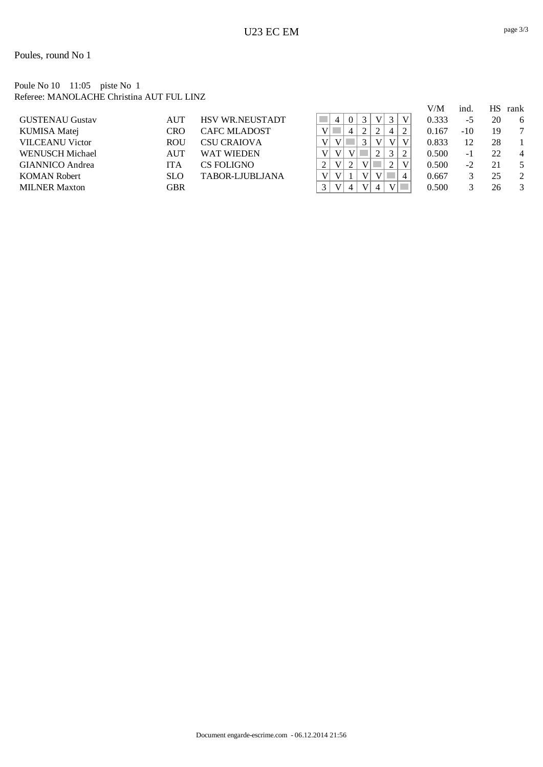#### Poule No 10 11:05 piste No 1 Referee: MANOLACHE Christina AUT FUL LINZ

|                        |            |                        |                |                |          |              |              |   |   | V/M   | ind.  | HS. | rank |
|------------------------|------------|------------------------|----------------|----------------|----------|--------------|--------------|---|---|-------|-------|-----|------|
| <b>GUSTENAU Gustav</b> | <b>AUT</b> | <b>HSV WR.NEUSTADT</b> |                | 4              | $\Omega$ | 3            | $\mathbf{V}$ | 3 | V | 0.333 | -5    | 20  | 6    |
| KUMISA Matej           | CRO        | <b>CAFC MLADOST</b>    |                |                | 4        |              |              | 4 |   | 0.167 | $-10$ | 19  | 7    |
| <b>VILCEANU Victor</b> | <b>ROU</b> | <b>CSU CRAIOVA</b>     | $V_{\perp}$    |                |          | 3            | V            | V | V | 0.833 | 12    | 28  |      |
| <b>WENUSCH Michael</b> | AUT        | <b>WAT WIEDEN</b>      | V              | V              |          |              |              | 3 |   | 0.500 | $-1$  | 22  | 4    |
| <b>GIANNICO</b> Andrea | ITA        | CS FOLIGNO             | $\overline{L}$ | V <sub>1</sub> | $\gamma$ | $\mathbf{V}$ |              |   | V | 0.500 | $-2$  | 21  |      |
| <b>KOMAN Robert</b>    | <b>SLO</b> | TABOR-LIUBLIANA        | V              | V              |          | V            |              |   | 4 | 0.667 |       | 25  | 2    |
| <b>MILNER Maxton</b>   | GBR        |                        |                | V              | 4        | $\mathbf{V}$ | 4            |   |   | 0.500 |       | 26  | 3    |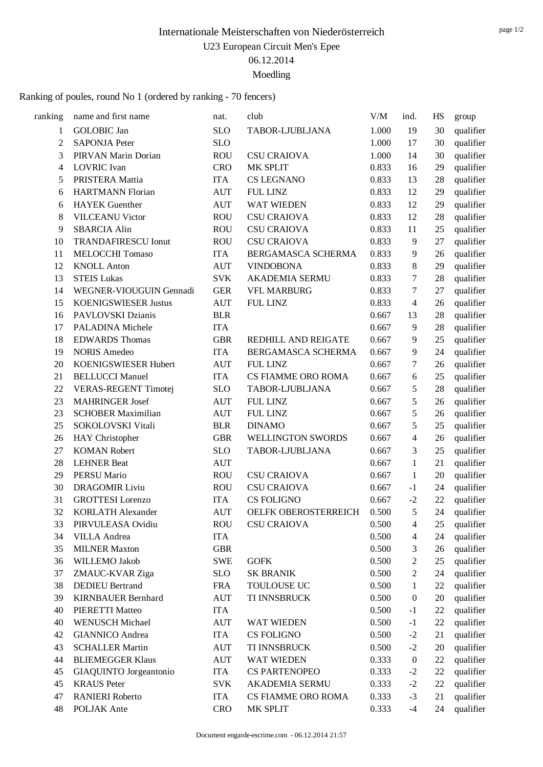Ranking of poules, round No 1 (ordered by ranking - 70 fencers)

| ranking        | name and first name         | nat.       | club                  | V/M   | ind.             | HS | group     |
|----------------|-----------------------------|------------|-----------------------|-------|------------------|----|-----------|
| 1              | <b>GOLOBIC</b> Jan          | <b>SLO</b> | TABOR-LJUBLJANA       | 1.000 | 19               | 30 | qualifier |
| $\overline{c}$ | <b>SAPONJA Peter</b>        | <b>SLO</b> |                       | 1.000 | 17               | 30 | qualifier |
| 3              | PIRVAN Marin Dorian         | <b>ROU</b> | <b>CSU CRAIOVA</b>    | 1.000 | 14               | 30 | qualifier |
| 4              | <b>LOVRIC</b> Ivan          | <b>CRO</b> | MK SPLIT              | 0.833 | 16               | 29 | qualifier |
| 5              | PRISTERA Mattia             | <b>ITA</b> | <b>CS LEGNANO</b>     | 0.833 | 13               | 28 | qualifier |
| 6              | <b>HARTMANN Florian</b>     | <b>AUT</b> | <b>FUL LINZ</b>       | 0.833 | 12               | 29 | qualifier |
| 6              | <b>HAYEK</b> Guenther       | <b>AUT</b> | WAT WIEDEN            | 0.833 | 12               | 29 | qualifier |
| 8              | <b>VILCEANU Victor</b>      | <b>ROU</b> | <b>CSU CRAIOVA</b>    | 0.833 | 12               | 28 | qualifier |
| 9              | <b>SBARCIA Alin</b>         | <b>ROU</b> | <b>CSU CRAIOVA</b>    | 0.833 | 11               | 25 | qualifier |
| 10             | <b>TRANDAFIRESCU Ionut</b>  | <b>ROU</b> | <b>CSU CRAIOVA</b>    | 0.833 | 9                | 27 | qualifier |
| 11             | MELOCCHI Tomaso             | <b>ITA</b> | BERGAMASCA SCHERMA    | 0.833 | 9                | 26 | qualifier |
| 12             | <b>KNOLL Anton</b>          | <b>AUT</b> | <b>VINDOBONA</b>      | 0.833 | 8                | 29 | qualifier |
| 13             | <b>STEIS Lukas</b>          | <b>SVK</b> | <b>AKADEMIA SERMU</b> | 0.833 | 7                | 28 | qualifier |
| 14             | WEGNER-VIOUGUIN Gennadi     | <b>GER</b> | <b>VFL MARBURG</b>    | 0.833 | 7                | 27 | qualifier |
| 15             | <b>KOENIGSWIESER Justus</b> | <b>AUT</b> | <b>FUL LINZ</b>       | 0.833 | $\overline{4}$   | 26 | qualifier |
| 16             | PAVLOVSKI Dzianis           | <b>BLR</b> |                       | 0.667 | 13               | 28 | qualifier |
| 17             | PALADINA Michele            | <b>ITA</b> |                       | 0.667 | 9                | 28 | qualifier |
| 18             | <b>EDWARDS</b> Thomas       | <b>GBR</b> | REDHILL AND REIGATE   | 0.667 | 9                | 25 | qualifier |
| 19             | <b>NORIS Amedeo</b>         | <b>ITA</b> | BERGAMASCA SCHERMA    | 0.667 | 9                | 24 | qualifier |
| 20             | KOENIGSWIESER Hubert        | <b>AUT</b> | <b>FUL LINZ</b>       | 0.667 | 7                | 26 | qualifier |
| 21             | <b>BELLUCCI Manuel</b>      | <b>ITA</b> | CS FIAMME ORO ROMA    | 0.667 | 6                | 25 | qualifier |
| 22             | <b>VERAS-REGENT Timotej</b> | <b>SLO</b> | TABOR-LJUBLJANA       | 0.667 | 5                | 28 | qualifier |
| 23             | <b>MAHRINGER Josef</b>      | <b>AUT</b> | <b>FUL LINZ</b>       | 0.667 | 5                | 26 | qualifier |
| 23             | <b>SCHOBER Maximilian</b>   | <b>AUT</b> | <b>FUL LINZ</b>       | 0.667 | 5                | 26 | qualifier |
| 25             | SOKOLOVSKI Vitali           | <b>BLR</b> | <b>DINAMO</b>         | 0.667 | 5                | 25 | qualifier |
| 26             | HAY Christopher             | <b>GBR</b> | WELLINGTON SWORDS     | 0.667 | 4                | 26 | qualifier |
| 27             | <b>KOMAN Robert</b>         | <b>SLO</b> | TABOR-LJUBLJANA       | 0.667 | 3                | 25 | qualifier |
| 28             | <b>LEHNER Beat</b>          | <b>AUT</b> |                       | 0.667 | 1                | 21 | qualifier |
| 29             | PERSU Mario                 | <b>ROU</b> | <b>CSU CRAIOVA</b>    | 0.667 | 1                | 20 | qualifier |
| 30             | <b>DRAGOMIR Liviu</b>       | <b>ROU</b> | <b>CSU CRAIOVA</b>    | 0.667 | $-1$             | 24 | qualifier |
| 31             | <b>GROTTESI</b> Lorenzo     | <b>ITA</b> | <b>CS FOLIGNO</b>     | 0.667 | $-2$             | 22 | qualifier |
| 32             | <b>KORLATH Alexander</b>    | <b>AUT</b> | OELFK OBEROSTERREICH  | 0.500 | 5                | 24 | qualifier |
| 33             | PIRVULEASA Ovidiu           | <b>ROU</b> | <b>CSU CRAIOVA</b>    | 0.500 | 4                | 25 | qualifier |
| 34             | <b>VILLA</b> Andrea         | <b>ITA</b> |                       | 0.500 | 4                | 24 | qualifier |
| 35             | <b>MILNER Maxton</b>        | <b>GBR</b> |                       | 0.500 | 3                | 26 | qualifier |
| 36             | WILLEMO Jakob               | <b>SWE</b> | <b>GOFK</b>           | 0.500 | 2                | 25 | qualifier |
| 37             | ZMAUC-KVAR Ziga             | <b>SLO</b> | <b>SK BRANIK</b>      | 0.500 | 2                | 24 | qualifier |
| 38             | <b>DEDIEU</b> Bertrand      | <b>FRA</b> | TOULOUSE UC           | 0.500 | 1                | 22 | qualifier |
| 39             | <b>KIRNBAUER Bernhard</b>   | <b>AUT</b> | TI INNSBRUCK          | 0.500 | $\boldsymbol{0}$ | 20 | qualifier |
| 40             | PIERETTI Matteo             | <b>ITA</b> |                       | 0.500 | $-1$             | 22 | qualifier |
| 40             | <b>WENUSCH Michael</b>      | <b>AUT</b> | WAT WIEDEN            | 0.500 | $-1$             | 22 | qualifier |
| 42             | <b>GIANNICO</b> Andrea      | <b>ITA</b> | <b>CS FOLIGNO</b>     | 0.500 | $-2$             | 21 | qualifier |
| 43             | <b>SCHALLER Martin</b>      | <b>AUT</b> | TI INNSBRUCK          | 0.500 | $-2$             | 20 | qualifier |
| 44             | <b>BLIEMEGGER Klaus</b>     | <b>AUT</b> | WAT WIEDEN            | 0.333 | $\boldsymbol{0}$ | 22 | qualifier |
| 45             | GIAQUINTO Jorgeantonio      | ITA        | <b>CS PARTENOPEO</b>  | 0.333 | $-2$             | 22 | qualifier |
| 45             | <b>KRAUS</b> Peter          | <b>SVK</b> | AKADEMIA SERMU        | 0.333 | $-2$             | 22 | qualifier |
| 47             | <b>RANIERI</b> Roberto      | <b>ITA</b> | CS FIAMME ORO ROMA    | 0.333 | $-3$             | 21 | qualifier |
| 48             | POLJAK Ante                 | <b>CRO</b> | MK SPLIT              | 0.333 | $-4$             | 24 | qualifier |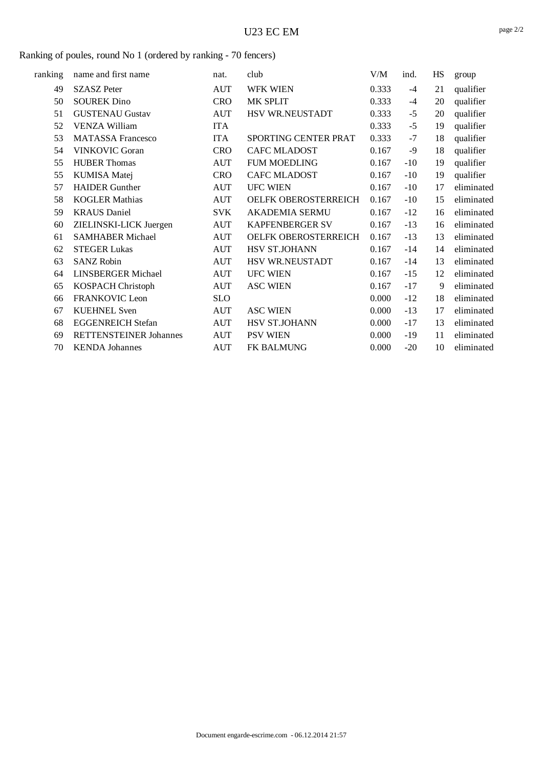### Ranking of poules, round No 1 (ordered by ranking - 70 fencers)

| ranking | name and first name           | nat.       | club                   | V/M   | ind.  | HS | group      |
|---------|-------------------------------|------------|------------------------|-------|-------|----|------------|
| 49      | <b>SZASZ</b> Peter            | <b>AUT</b> | WFK WIEN               | 0.333 | $-4$  | 21 | qualifier  |
| 50      | <b>SOUREK Dino</b>            | <b>CRO</b> | MK SPLIT               | 0.333 | $-4$  | 20 | qualifier  |
| 51      | <b>GUSTENAU Gustav</b>        | <b>AUT</b> | HSV WR.NEUSTADT        | 0.333 | $-5$  | 20 | qualifier  |
| 52      | <b>VENZA William</b>          | <b>ITA</b> |                        | 0.333 | $-5$  | 19 | qualifier  |
| 53      | <b>MATASSA Francesco</b>      | <b>ITA</b> | SPORTING CENTER PRAT   | 0.333 | $-7$  | 18 | qualifier  |
| 54      | <b>VINKOVIC Goran</b>         | <b>CRO</b> | <b>CAFC MLADOST</b>    | 0.167 | -9    | 18 | qualifier  |
| 55      | <b>HUBER Thomas</b>           | <b>AUT</b> | <b>FUM MOEDLING</b>    | 0.167 | $-10$ | 19 | qualifier  |
| 55      | <b>KUMISA Matej</b>           | <b>CRO</b> | CAFC MLADOST           | 0.167 | $-10$ | 19 | qualifier  |
| 57      | <b>HAIDER Gunther</b>         | <b>AUT</b> | <b>UFC WIEN</b>        | 0.167 | $-10$ | 17 | eliminated |
| 58      | <b>KOGLER Mathias</b>         | <b>AUT</b> | OELFK OBEROSTERREICH   | 0.167 | $-10$ | 15 | eliminated |
| 59      | <b>KRAUS</b> Daniel           | <b>SVK</b> | <b>AKADEMIA SERMU</b>  | 0.167 | $-12$ | 16 | eliminated |
| 60      | ZIELINSKI-LICK Juergen        | <b>AUT</b> | <b>KAPFENBERGER SV</b> | 0.167 | $-13$ | 16 | eliminated |
| 61      | <b>SAMHABER Michael</b>       | <b>AUT</b> | OELFK OBEROSTERREICH   | 0.167 | $-13$ | 13 | eliminated |
| 62      | <b>STEGER Lukas</b>           | <b>AUT</b> | HSV ST.JOHANN          | 0.167 | $-14$ | 14 | eliminated |
| 63      | <b>SANZ Robin</b>             | <b>AUT</b> | HSV WR.NEUSTADT        | 0.167 | $-14$ | 13 | eliminated |
| 64      | <b>LINSBERGER Michael</b>     | <b>AUT</b> | <b>UFC WIEN</b>        | 0.167 | $-15$ | 12 | eliminated |
| 65      | <b>KOSPACH Christoph</b>      | <b>AUT</b> | <b>ASC WIEN</b>        | 0.167 | $-17$ | 9  | eliminated |
| 66      | FRANKOVIC Leon                | <b>SLO</b> |                        | 0.000 | $-12$ | 18 | eliminated |
| 67      | <b>KUEHNEL Sven</b>           | AUT        | <b>ASC WIEN</b>        | 0.000 | $-13$ | 17 | eliminated |
| 68      | <b>EGGENREICH Stefan</b>      | <b>AUT</b> | HSV ST.JOHANN          | 0.000 | $-17$ | 13 | eliminated |
| 69      | <b>RETTENSTEINER Johannes</b> | <b>AUT</b> | <b>PSV WIEN</b>        | 0.000 | $-19$ | 11 | eliminated |
| 70      | <b>KENDA</b> Johannes         | <b>AUT</b> | <b>FK BALMUNG</b>      | 0.000 | $-20$ | 10 | eliminated |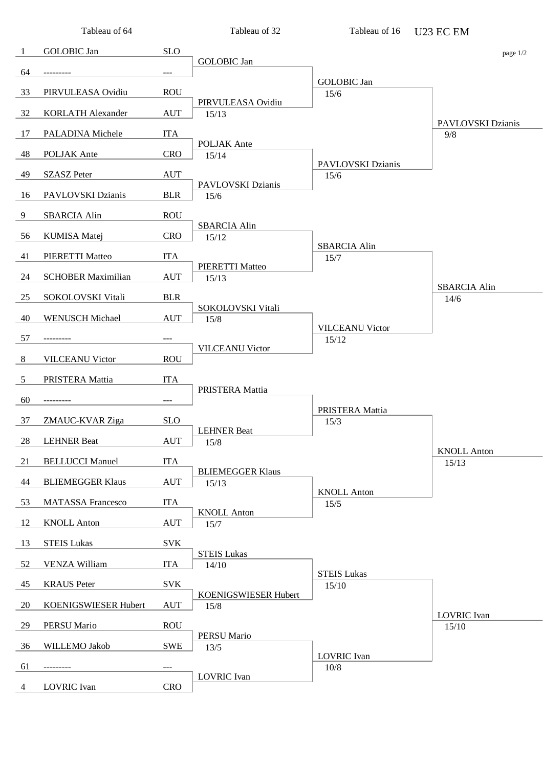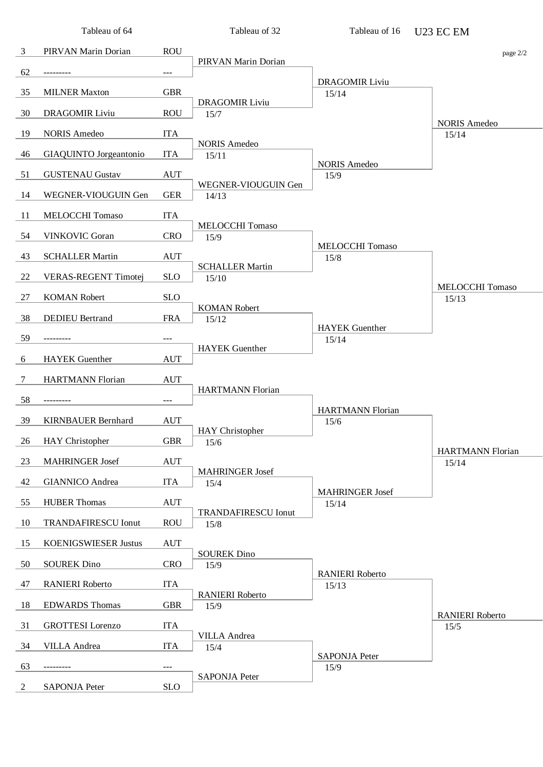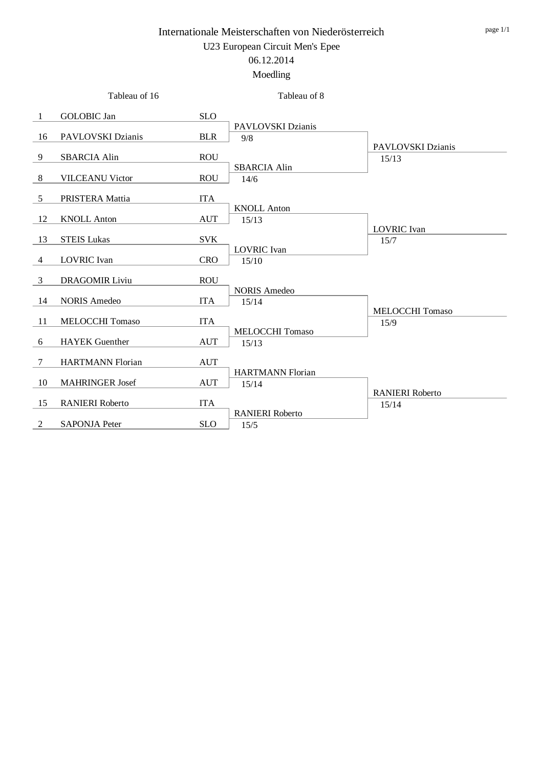|                | Tableau of 16           |                                  | Tableau of 8                     |                                 |
|----------------|-------------------------|----------------------------------|----------------------------------|---------------------------------|
| -1             | <b>GOLOBIC</b> Jan      | <b>SLO</b>                       |                                  |                                 |
| -16            | PAVLOVSKI Dzianis       | <b>BLR</b>                       | PAVLOVSKI Dzianis<br>9/8         |                                 |
| 9              | <b>SBARCIA Alin</b>     | <b>ROU</b>                       |                                  | PAVLOVSKI Dzianis<br>15/13      |
| 8              | <b>VILCEANU Victor</b>  | <b>ROU</b>                       | <b>SBARCIA Alin</b><br>14/6      |                                 |
| 5              | PRISTERA Mattia         | <b>ITA</b>                       |                                  |                                 |
| 12             | <b>KNOLL Anton</b>      | <b>AUT</b>                       | <b>KNOLL Anton</b><br>15/13      |                                 |
| 13             | <b>STEIS Lukas</b>      | <b>SVK</b>                       |                                  | <b>LOVRIC</b> Ivan<br>15/7      |
| $\overline{4}$ | <b>LOVRIC</b> Ivan      | <b>CRO</b>                       | <b>LOVRIC</b> Ivan<br>15/10      |                                 |
| 3              | <b>DRAGOMIR Liviu</b>   | <b>ROU</b>                       |                                  |                                 |
| -14            | <b>NORIS Amedeo</b>     | <b>ITA</b>                       | <b>NORIS Amedeo</b><br>15/14     |                                 |
| -11            | <b>MELOCCHI Tomaso</b>  | <b>ITA</b>                       |                                  | MELOCCHI Tomaso<br>15/9         |
| 6              | <b>HAYEK</b> Guenther   | <b>AUT</b>                       | <b>MELOCCHI Tomaso</b><br>15/13  |                                 |
| 7              | <b>HARTMANN Florian</b> | $\mathbf{A}\mathbf{U}\mathbf{T}$ |                                  |                                 |
| 10             | <b>MAHRINGER Josef</b>  | <b>AUT</b>                       | <b>HARTMANN Florian</b><br>15/14 |                                 |
| 15             | <b>RANIERI</b> Roberto  | <b>ITA</b>                       |                                  | <b>RANIERI Roberto</b><br>15/14 |
| 2              | <b>SAPONJA Peter</b>    | <b>SLO</b>                       | <b>RANIERI</b> Roberto<br>15/5   |                                 |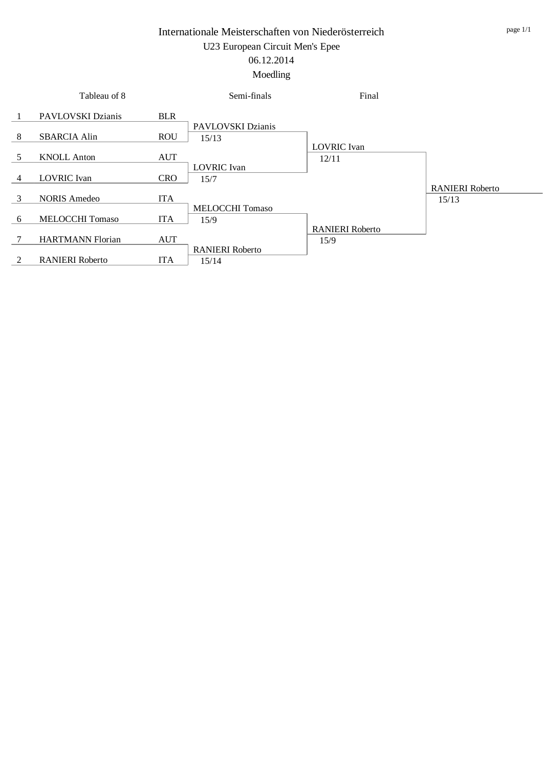|   | Tableau of 8            |            | Semi-finals                | Final                       |                        |
|---|-------------------------|------------|----------------------------|-----------------------------|------------------------|
|   | PAVLOVSKI Dzianis       | <b>BLR</b> |                            |                             |                        |
| 8 | <b>SBARCIA Alin</b>     | <b>ROU</b> | PAVLOVSKI Dzianis<br>15/13 |                             |                        |
| 5 | <b>KNOLL Anton</b>      | <b>AUT</b> |                            | <b>LOVRIC</b> Ivan<br>12/11 |                        |
| 4 | <b>LOVRIC</b> Ivan      | <b>CRO</b> | <b>LOVRIC</b> Ivan<br>15/7 |                             |                        |
| 3 | <b>NORIS Amedeo</b>     | <b>ITA</b> |                            |                             | <b>RANIERI</b> Roberto |
|   |                         |            | <b>MELOCCHI Tomaso</b>     |                             | 15/13                  |
| 6 | <b>MELOCCHI Tomaso</b>  | <b>ITA</b> | 15/9                       | <b>RANIERI</b> Roberto      |                        |
|   | <b>HARTMANN Florian</b> | <b>AUT</b> | <b>RANIERI</b> Roberto     | 15/9                        |                        |
| 2 | <b>RANIERI</b> Roberto  | <b>ITA</b> | 15/14                      |                             |                        |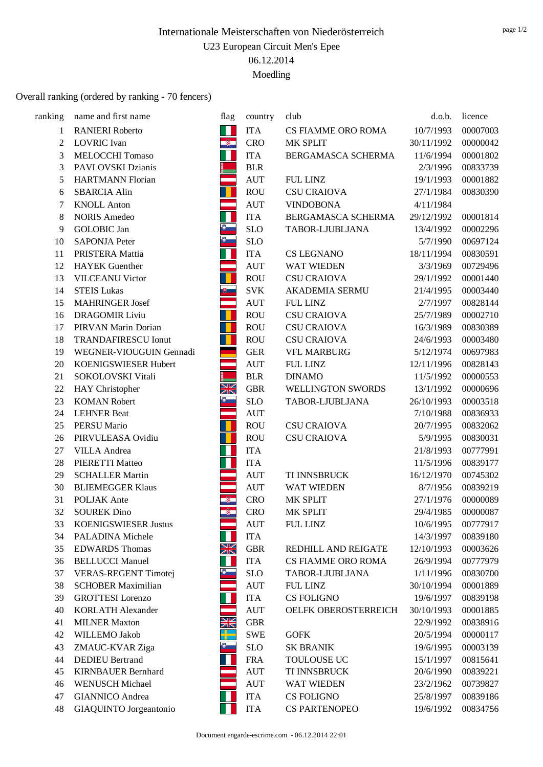## Overall ranking (ordered by ranking - 70 fencers)

| ranking        | name and first name         | flag                     | country            | club                  | d.o.b.     | licence  |
|----------------|-----------------------------|--------------------------|--------------------|-----------------------|------------|----------|
| 1              | <b>RANIERI</b> Roberto      | 11                       | <b>ITA</b>         | CS FIAMME ORO ROMA    | 10/7/1993  | 00007003 |
| $\overline{c}$ | <b>LOVRIC</b> Ivan          | $\mathbf{R}$             | <b>CRO</b>         | MK SPLIT              | 30/11/1992 | 00000042 |
| 3              | <b>MELOCCHI Tomaso</b>      | Ш                        | <b>ITA</b>         | BERGAMASCA SCHERMA    | 11/6/1994  | 00001802 |
| 3              | PAVLOVSKI Dzianis           |                          | <b>BLR</b>         |                       | 2/3/1996   | 00833739 |
| 5              | <b>HARTMANN Florian</b>     | $\equiv$                 | <b>AUT</b>         | <b>FUL LINZ</b>       | 19/1/1993  | 00001882 |
| 6              | <b>SBARCIA Alin</b>         |                          | <b>ROU</b>         | <b>CSU CRAIOVA</b>    | 27/1/1984  | 00830390 |
| $\overline{7}$ | <b>KNOLL Anton</b>          |                          | <b>AUT</b>         | <b>VINDOBONA</b>      | 4/11/1984  |          |
| 8              | <b>NORIS Amedeo</b>         | П                        | <b>ITA</b>         | BERGAMASCA SCHERMA    | 29/12/1992 | 00001814 |
| 9              | <b>GOLOBIC</b> Jan          | $\frac{1}{2}$            | <b>SLO</b>         | TABOR-LJUBLJANA       | 13/4/1992  | 00002296 |
| 10             | <b>SAPONJA Peter</b>        | $\bullet$                | <b>SLO</b>         |                       | 5/7/1990   | 00697124 |
| 11             | PRISTERA Mattia             | Ш                        | <b>ITA</b>         | <b>CS LEGNANO</b>     | 18/11/1994 | 00830591 |
| 12             | <b>HAYEK</b> Guenther       | $\equiv$                 | <b>AUT</b>         | <b>WAT WIEDEN</b>     | 3/3/1969   | 00729496 |
| 13             | <b>VILCEANU Victor</b>      | H                        | <b>ROU</b>         | <b>CSU CRAIOVA</b>    | 29/1/1992  | 00001440 |
| 14             | <b>STEIS Lukas</b>          | ■                        | <b>SVK</b>         | <b>AKADEMIA SERMU</b> | 21/4/1995  | 00003440 |
| 15             | <b>MAHRINGER Josef</b>      | ਵ                        | $\mathop{\rm AUT}$ | <b>FUL LINZ</b>       | 2/7/1997   | 00828144 |
| 16             | <b>DRAGOMIR Liviu</b>       | O                        | <b>ROU</b>         | <b>CSU CRAIOVA</b>    | 25/7/1989  | 00002710 |
| 17             | PIRVAN Marin Dorian         | T                        | <b>ROU</b>         | <b>CSU CRAIOVA</b>    | 16/3/1989  | 00830389 |
| 18             | <b>TRANDAFIRESCU Ionut</b>  |                          | <b>ROU</b>         | <b>CSU CRAIOVA</b>    | 24/6/1993  | 00003480 |
| 19             | WEGNER-VIOUGUIN Gennadi     |                          | <b>GER</b>         | <b>VFL MARBURG</b>    | 5/12/1974  | 00697983 |
| 20             | KOENIGSWIESER Hubert        | $\equiv$                 | <b>AUT</b>         | <b>FUL LINZ</b>       | 12/11/1996 | 00828143 |
| 21             | SOKOLOVSKI Vitali           |                          | <b>BLR</b>         | <b>DINAMO</b>         | 11/5/1992  | 00000553 |
| 22             | HAY Christopher             | XK                       | ${\rm GBR}$        | WELLINGTON SWORDS     | 13/1/1992  | 00000696 |
| 23             | <b>KOMAN Robert</b>         | $\bullet$                | $\rm SLO$          | TABOR-LJUBLJANA       | 26/10/1993 | 00003518 |
| 24             | <b>LEHNER Beat</b>          | سمبر<br>سبب              | <b>AUT</b>         |                       | 7/10/1988  | 00836933 |
| 25             | <b>PERSU Mario</b>          |                          | <b>ROU</b>         | <b>CSU CRAIOVA</b>    | 20/7/1995  | 00832062 |
| 26             | PIRVULEASA Ovidiu           |                          | <b>ROU</b>         | <b>CSU CRAIOVA</b>    | 5/9/1995   | 00830031 |
| 27             | <b>VILLA</b> Andrea         | Ш                        | <b>ITA</b>         |                       | 21/8/1993  | 00777991 |
| 28             | PIERETTI Matteo             | T                        | <b>ITA</b>         |                       | 11/5/1996  | 00839177 |
| 29             | <b>SCHALLER Martin</b>      |                          | <b>AUT</b>         | TI INNSBRUCK          | 16/12/1970 | 00745302 |
| 30             | <b>BLIEMEGGER Klaus</b>     |                          | <b>AUT</b>         | <b>WAT WIEDEN</b>     | 8/7/1956   | 00839219 |
| 31             | POLJAK Ante                 | $\overline{\mathcal{Z}}$ | <b>CRO</b>         | MK SPLIT              | 27/1/1976  | 00000089 |
| 32             | <b>SOUREK Dino</b>          | $\mathbb{R}$             | <b>CRO</b>         | MK SPLIT              | 29/4/1985  | 00000087 |
| 33             | <b>KOENIGSWIESER Justus</b> |                          | <b>AUT</b>         | <b>FUL LINZ</b>       | 10/6/1995  | 00777917 |
| 34             | PALADINA Michele            |                          | <b>ITA</b>         |                       | 14/3/1997  | 00839180 |
| 35             | <b>EDWARDS Thomas</b>       | XK                       | ${\rm GBR}$        | REDHILL AND REIGATE   | 12/10/1993 | 00003626 |
| 36             | <b>BELLUCCI Manuel</b>      | Ш                        | <b>ITA</b>         | CS FIAMME ORO ROMA    | 26/9/1994  | 00777979 |
| 37             | <b>VERAS-REGENT Timotej</b> | $\bullet$                | <b>SLO</b>         | TABOR-LJUBLJANA       | 1/11/1996  | 00830700 |
| 38             | <b>SCHOBER Maximilian</b>   |                          | <b>AUT</b>         | <b>FUL LINZ</b>       | 30/10/1994 | 00001889 |
| 39             | <b>GROTTESI</b> Lorenzo     | Ш                        | <b>ITA</b>         | <b>CS FOLIGNO</b>     | 19/6/1997  | 00839198 |
| 40             | <b>KORLATH Alexander</b>    |                          | <b>AUT</b>         | OELFK OBEROSTERREICH  | 30/10/1993 | 00001885 |
| 41             | <b>MILNER Maxton</b>        | XK                       | ${\rm GBR}$        |                       | 22/9/1992  | 00838916 |
| 42             | WILLEMO Jakob               | ╬═                       | <b>SWE</b>         | <b>GOFK</b>           | 20/5/1994  | 00000117 |
| 43             | ZMAUC-KVAR Ziga             | $\bullet$                | <b>SLO</b>         | <b>SK BRANIK</b>      | 19/6/1995  | 00003139 |
| 44             | <b>DEDIEU</b> Bertrand      | Ш                        | <b>FRA</b>         | TOULOUSE UC           | 15/1/1997  | 00815641 |
| 45             | <b>KIRNBAUER Bernhard</b>   |                          | <b>AUT</b>         | TI INNSBRUCK          | 20/6/1990  | 00839221 |
| 46             | <b>WENUSCH Michael</b>      |                          | <b>AUT</b>         | WAT WIEDEN            | 23/2/1962  | 00739827 |
| 47             | <b>GIANNICO</b> Andrea      |                          | <b>ITA</b>         | <b>CS FOLIGNO</b>     | 25/8/1997  | 00839186 |
| 48             | GIAQUINTO Jorgeantonio      |                          | <b>ITA</b>         | <b>CS PARTENOPEO</b>  | 19/6/1992  | 00834756 |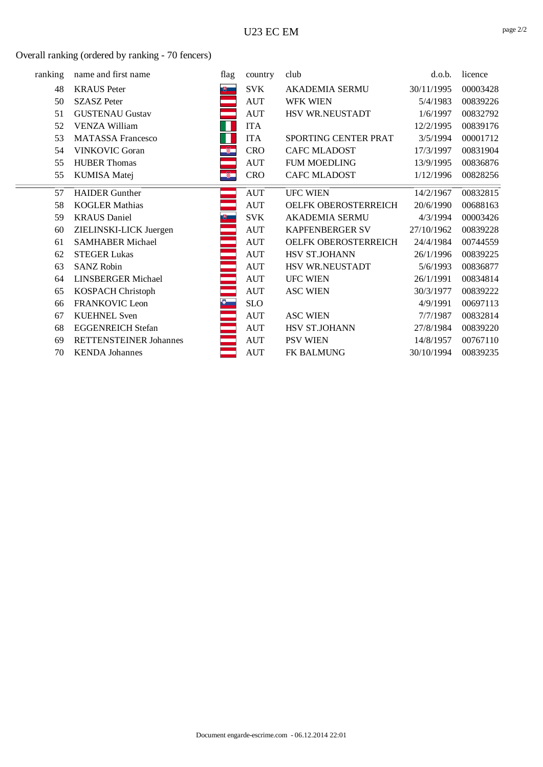Overall ranking (ordered by ranking - 70 fencers)

| ranking | name and first name           | flag                     | country    | club                   | d.o.b.     | licence  |
|---------|-------------------------------|--------------------------|------------|------------------------|------------|----------|
| 48      | <b>KRAUS</b> Peter            | 博士                       | <b>SVK</b> | <b>AKADEMIA SERMU</b>  | 30/11/1995 | 00003428 |
| 50      | <b>SZASZ Peter</b>            |                          | <b>AUT</b> | <b>WFK WIEN</b>        | 5/4/1983   | 00839226 |
| 51      | <b>GUSTENAU Gustav</b>        |                          | <b>AUT</b> | HSV WR.NEUSTADT        | 1/6/1997   | 00832792 |
| 52      | <b>VENZA William</b>          |                          | <b>ITA</b> |                        | 12/2/1995  | 00839176 |
| 53      | <b>MATASSA Francesco</b>      |                          | <b>ITA</b> | SPORTING CENTER PRAT   | 3/5/1994   | 00001712 |
| 54      | <b>VINKOVIC Goran</b>         | $\overline{\mathscr{B}}$ | <b>CRO</b> | <b>CAFC MLADOST</b>    | 17/3/1997  | 00831904 |
| 55      | <b>HUBER Thomas</b>           |                          | <b>AUT</b> | <b>FUM MOEDLING</b>    | 13/9/1995  | 00836876 |
| 55      | <b>KUMISA</b> Matej           | Ñ.                       | <b>CRO</b> | <b>CAFC MLADOST</b>    | 1/12/1996  | 00828256 |
| 57      | <b>HAIDER</b> Gunther         |                          | <b>AUT</b> | <b>UFC WIEN</b>        | 14/2/1967  | 00832815 |
| 58      | <b>KOGLER Mathias</b>         |                          | <b>AUT</b> | OELFK OBEROSTERREICH   | 20/6/1990  | 00688163 |
| 59      | <b>KRAUS</b> Daniel           | 吧                        | <b>SVK</b> | <b>AKADEMIA SERMU</b>  | 4/3/1994   | 00003426 |
| 60      | ZIELINSKI-LICK Juergen        |                          | <b>AUT</b> | <b>KAPFENBERGER SV</b> | 27/10/1962 | 00839228 |
| 61      | <b>SAMHABER Michael</b>       |                          | <b>AUT</b> | OELFK OBEROSTERREICH   | 24/4/1984  | 00744559 |
| 62      | <b>STEGER Lukas</b>           | an<br>Ba                 | <b>AUT</b> | HSV ST.JOHANN          | 26/1/1996  | 00839225 |
| 63      | <b>SANZ Robin</b>             |                          | <b>AUT</b> | HSV WR.NEUSTADT        | 5/6/1993   | 00836877 |
| 64      | <b>LINSBERGER Michael</b>     |                          | <b>AUT</b> | <b>UFC WIEN</b>        | 26/1/1991  | 00834814 |
| 65      | KOSPACH Christoph             |                          | <b>AUT</b> | <b>ASC WIEN</b>        | 30/3/1977  | 00839222 |
| 66      | FRANKOVIC Leon                |                          | <b>SLO</b> |                        | 4/9/1991   | 00697113 |
| 67      | <b>KUEHNEL Sven</b>           |                          | <b>AUT</b> | <b>ASC WIEN</b>        | 7/7/1987   | 00832814 |
| 68      | <b>EGGENREICH Stefan</b>      |                          | <b>AUT</b> | HSV ST.JOHANN          | 27/8/1984  | 00839220 |
| 69      | <b>RETTENSTEINER Johannes</b> |                          | <b>AUT</b> | <b>PSV WIEN</b>        | 14/8/1957  | 00767110 |
| 70      | <b>KENDA</b> Johannes         |                          | <b>AUT</b> | <b>FK BALMUNG</b>      | 30/10/1994 | 00839235 |